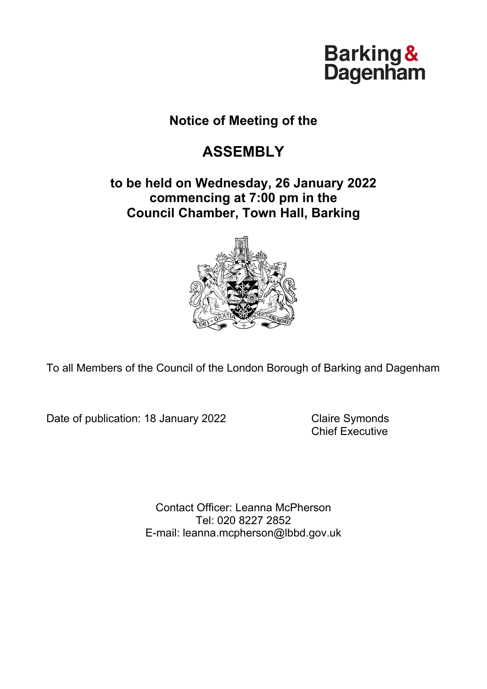# Barking &<br>Dagenham

## **Notice of Meeting of the**

# **ASSEMBLY**

## **to be held on Wednesday, 26 January 2022 commencing at 7:00 pm in the Council Chamber, Town Hall, Barking**



To all Members of the Council of the London Borough of Barking and Dagenham

Date of publication: 18 January 2022 Claire Symonds

Chief Executive

Contact Officer: Leanna McPherson Tel: 020 8227 2852 E-mail: leanna.mcpherson@lbbd.gov.uk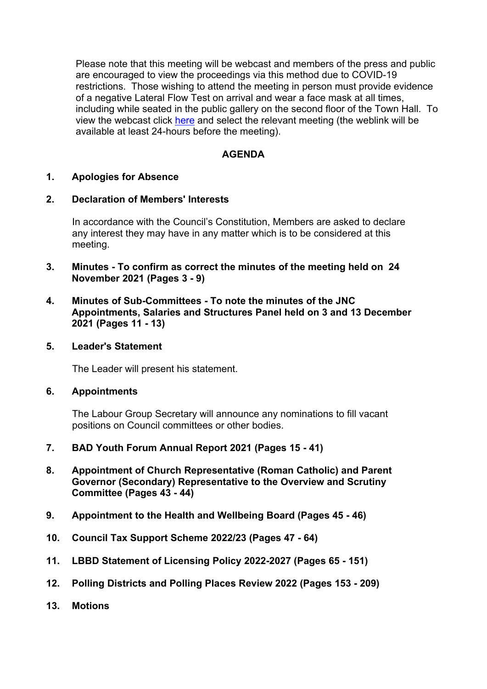Please note that this meeting will be webcast and members of the press and public are encouraged to view the proceedings via this method due to COVID-19 restrictions. Those wishing to attend the meeting in person must provide evidence of a negative Lateral Flow Test on arrival and wear a face mask at all times, including while seated in the public gallery on the second floor of the Town Hall. To view the webcast click [here](https://modgov.lbbd.gov.uk/internet/ieListMeetings.aspx?CId=179&Year=0) and select the relevant meeting (the weblink will be available at least 24-hours before the meeting).

#### **AGENDA**

#### **1. Apologies for Absence**

#### **2. Declaration of Members' Interests**

In accordance with the Council's Constitution, Members are asked to declare any interest they may have in any matter which is to be considered at this meeting.

- **3. Minutes - To confirm as correct the minutes of the meeting held on 24 November 2021 (Pages 3 - 9)**
- **4. Minutes of Sub-Committees - To note the minutes of the JNC Appointments, Salaries and Structures Panel held on 3 and 13 December 2021 (Pages 11 - 13)**
- **5. Leader's Statement**

The Leader will present his statement.

#### **6. Appointments**

The Labour Group Secretary will announce any nominations to fill vacant positions on Council committees or other bodies.

- **7. BAD Youth Forum Annual Report 2021 (Pages 15 - 41)**
- **8. Appointment of Church Representative (Roman Catholic) and Parent Governor (Secondary) Representative to the Overview and Scrutiny Committee (Pages 43 - 44)**
- **9. Appointment to the Health and Wellbeing Board (Pages 45 - 46)**
- **10. Council Tax Support Scheme 2022/23 (Pages 47 - 64)**
- **11. LBBD Statement of Licensing Policy 2022-2027 (Pages 65 - 151)**
- **12. Polling Districts and Polling Places Review 2022 (Pages 153 - 209)**
- **13. Motions**